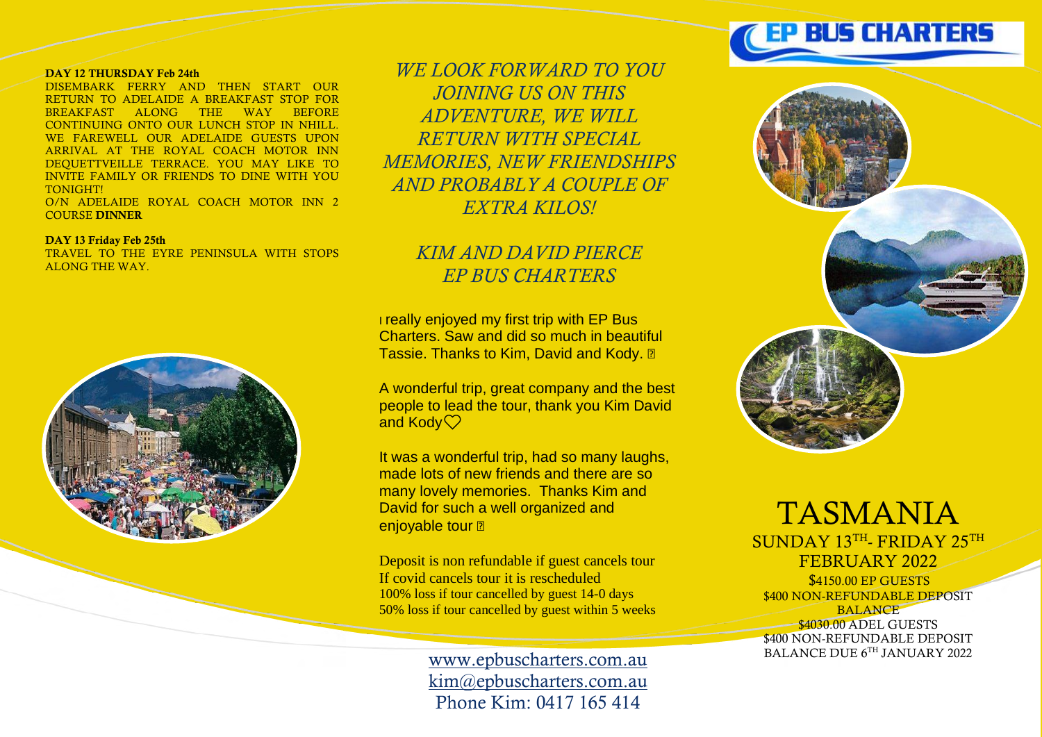## DAY 12 THURSDAY Feb 24th

DISEMBARK FERRY AND THEN START OUR RETURN TO ADELAIDE A BREAKFAST STOP FOR BREAKFAST ALONG THE WAY BEFORE CONTINUING ONTO OUR LUNCH STOP IN NHILL. WE FAREWELL OUR ADELAIDE GUESTS UPON ARRIVAL AT THE ROYAL COACH MOTOR INN DEQUETTVEILLE TERRACE. YOU MAY LIKE TO INVITE FAMILY OR FRIENDS TO DINE WITH YOU **TONIGHT!** O/N ADELAIDE ROYAL COACH MOTOR INN 2

COURSE DINNER

#### DAY 13 Friday Feb 25th

TRAVEL TO THE EYRE PENINSULA WITH STOPS ALONG THE WAY.



*WE LOOK FORWARD TO YOU JOINING US ON THIS ADVENTURE, WE WILL RETURN WITH SPECIAL MEMORIES, NEW FRIENDSHIPS AND PROBABLY A COUPLE OF EXTRA KILOS!*

# *KIM AND DAVID PIERCE EP BUS CHARTERS*

**I really enjoyed my first trip with EP Bus** Charters. Saw and did so much in beautiful Tassie. Thanks to Kim, David and Kody. a

A wonderful trip, great company and the best people to lead the tour, thank you Kim David and Kody $\heartsuit$ 

It was a wonderful trip, had so many laughs, made lots of new friends and there are so many lovely memories. Thanks Kim and David for such a well organized and enjoyable tour ?

Deposit is non refundable if guest cancels tour If covid cancels tour it is rescheduled 100% loss if tour cancelled by guest 14-0 days 50% loss if tour cancelled by guest within 5 weeks

> [www.epbuscharters.com.au](http://www.epbuscharters.com.au/) [kim@epbuscharters.com.au](mailto:kim@epbuscharters.com.au) Phone Kim: 0417 165 414



TASMANIA SUNDAY 13TH<sub>-FRIDAY 25TH</sub> FEBRUARY 2022 \$4150.00 EP GUESTS \$400 NON-REFUNDABLE DEPOSIT BALANCE **\$4030.00 ADEL GUESTS** \$400 NON-REFUNDABLE DEPOSIT BALANCE DUE 6TH JANUARY 2022